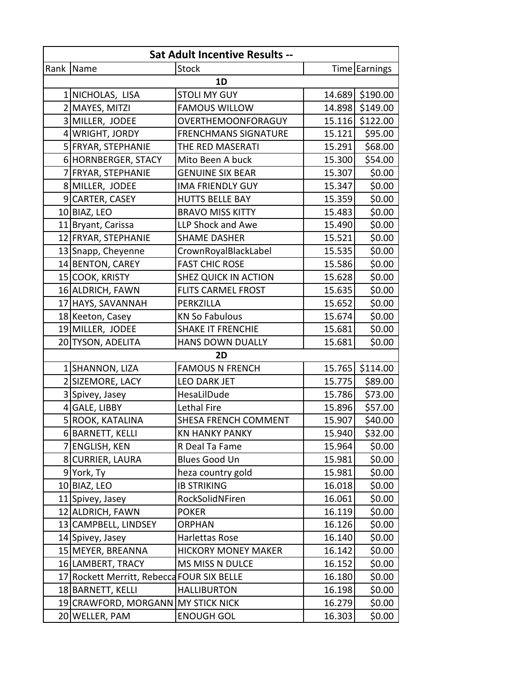| <b>Sat Adult Incentive Results --</b> |                                            |                             |        |                 |  |  |  |  |
|---------------------------------------|--------------------------------------------|-----------------------------|--------|-----------------|--|--|--|--|
|                                       | Rank Name                                  | <b>Stock</b>                |        | Time Earnings   |  |  |  |  |
| 1D                                    |                                            |                             |        |                 |  |  |  |  |
|                                       | 1 NICHOLAS, LISA                           | <b>STOLI MY GUY</b>         |        | 14.689 \$190.00 |  |  |  |  |
|                                       | 2 MAYES, MITZI                             | <b>FAMOUS WILLOW</b>        |        | 14.898 \$149.00 |  |  |  |  |
|                                       | 3 MILLER, JODEE                            | OVERTHEMOONFORAGUY          |        | 15.116 \$122.00 |  |  |  |  |
|                                       | 4 WRIGHT, JORDY                            | <b>FRENCHMANS SIGNATURE</b> | 15.121 | \$95.00         |  |  |  |  |
|                                       | 5 FRYAR, STEPHANIE                         | THE RED MASERATI            | 15.291 | \$68.00         |  |  |  |  |
|                                       | 6 HORNBERGER, STACY                        | Mito Been A buck            | 15.300 | \$54.00         |  |  |  |  |
|                                       | 7 FRYAR, STEPHANIE                         | <b>GENUINE SIX BEAR</b>     | 15.307 | \$0.00          |  |  |  |  |
|                                       | 8 MILLER, JODEE                            | <b>IMA FRIENDLY GUY</b>     | 15.347 | \$0.00          |  |  |  |  |
|                                       | 9 CARTER, CASEY                            | <b>HUTTS BELLE BAY</b>      | 15.359 | \$0.00          |  |  |  |  |
|                                       | 10 BIAZ, LEO                               | <b>BRAVO MISS KITTY</b>     | 15.483 | \$0.00          |  |  |  |  |
|                                       | 11 Bryant, Carissa                         | LLP Shock and Awe           | 15.490 | \$0.00          |  |  |  |  |
|                                       | 12 FRYAR, STEPHANIE                        | <b>SHAME DASHER</b>         | 15.521 | \$0.00          |  |  |  |  |
|                                       | 13 Snapp, Cheyenne                         | CrownRoyalBlackLabel        | 15.535 | \$0.00          |  |  |  |  |
|                                       | 14 BENTON, CAREY                           | <b>FAST CHIC ROSE</b>       | 15.586 | \$0.00          |  |  |  |  |
|                                       | 15 COOK, KRISTY                            | <b>SHEZ QUICK IN ACTION</b> | 15.628 | \$0.00          |  |  |  |  |
|                                       | 16 ALDRICH, FAWN                           | <b>FLITS CARMEL FROST</b>   | 15.635 | \$0.00          |  |  |  |  |
|                                       | 17 HAYS, SAVANNAH                          | PERKZILLA                   | 15.652 | \$0.00          |  |  |  |  |
|                                       | 18 Keeton, Casey                           | <b>KN So Fabulous</b>       | 15.674 | \$0.00          |  |  |  |  |
|                                       | 19 MILLER, JODEE                           | <b>SHAKE IT FRENCHIE</b>    | 15.681 | \$0.00          |  |  |  |  |
|                                       | 20 TYSON, ADELITA                          | <b>HANS DOWN DUALLY</b>     | 15.681 | \$0.00          |  |  |  |  |
| 2D                                    |                                            |                             |        |                 |  |  |  |  |
|                                       | 1 SHANNON, LIZA                            | <b>FAMOUS N FRENCH</b>      | 15.765 | \$114.00        |  |  |  |  |
|                                       | 2 SIZEMORE, LACY                           | <b>LEO DARK JET</b>         | 15.775 | \$89.00         |  |  |  |  |
|                                       | 3 Spivey, Jasey                            | HesaLilDude                 | 15.786 | \$73.00         |  |  |  |  |
|                                       | 4 GALE, LIBBY                              | <b>Lethal Fire</b>          | 15.896 | \$57.00         |  |  |  |  |
|                                       | 5 ROOK, KATALINA                           | SHESA FRENCH COMMENT        | 15.907 | \$40.00         |  |  |  |  |
|                                       | 6 BARNETT, KELLI                           | <b>KN HANKY PANKY</b>       | 15.940 | \$32.00         |  |  |  |  |
| 7                                     | <b>ENGLISH, KEN</b>                        | R Deal Ta Fame              | 15.964 | \$0.00          |  |  |  |  |
|                                       | 8 CURRIER, LAURA                           | <b>Blues Good Un</b>        | 15.981 | \$0.00          |  |  |  |  |
|                                       | 9 York, Ty                                 | heza country gold           | 15.981 | \$0.00          |  |  |  |  |
|                                       | 10 BIAZ, LEO                               | <b>IB STRIKING</b>          | 16.018 | \$0.00          |  |  |  |  |
|                                       | 11 Spivey, Jasey                           | RockSolidNFiren             | 16.061 | \$0.00          |  |  |  |  |
|                                       | 12 ALDRICH, FAWN                           | <b>POKER</b>                | 16.119 | \$0.00          |  |  |  |  |
|                                       | 13 CAMPBELL, LINDSEY                       | <b>ORPHAN</b>               | 16.126 | \$0.00          |  |  |  |  |
|                                       | 14 Spivey, Jasey                           | Harlettas Rose              | 16.140 | \$0.00          |  |  |  |  |
|                                       | 15 MEYER, BREANNA                          | <b>HICKORY MONEY MAKER</b>  | 16.142 | \$0.00          |  |  |  |  |
|                                       | 16 LAMBERT, TRACY                          | MS MISS N DULCE             | 16.152 | \$0.00          |  |  |  |  |
|                                       | 17 Rockett Merritt, Rebecca FOUR SIX BELLE |                             | 16.180 | \$0.00          |  |  |  |  |
|                                       | 18 BARNETT, KELLI                          | <b>HALLIBURTON</b>          | 16.198 | \$0.00          |  |  |  |  |
|                                       | 19 CRAWFORD, MORGANN MY STICK NICK         |                             | 16.279 | \$0.00          |  |  |  |  |
|                                       | 20 WELLER, PAM                             | <b>ENOUGH GOL</b>           | 16.303 | \$0.00          |  |  |  |  |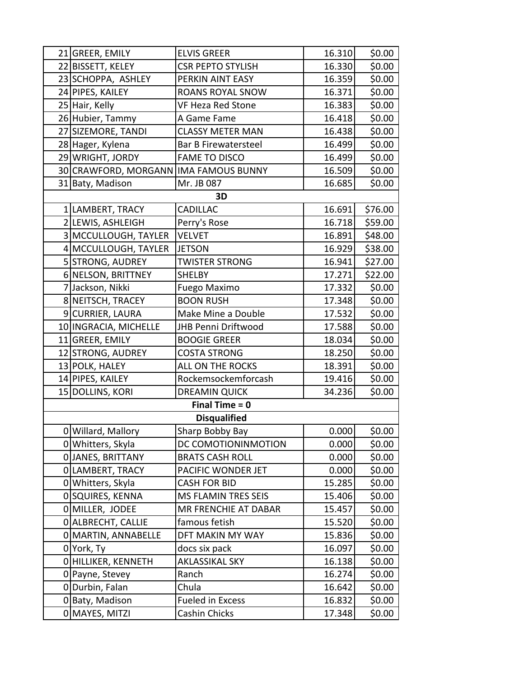|                  | 21 GREER, EMILY                       | <b>ELVIS GREER</b>         | 16.310 | \$0.00  |  |  |  |
|------------------|---------------------------------------|----------------------------|--------|---------|--|--|--|
|                  | 22 BISSETT, KELEY                     | <b>CSR PEPTO STYLISH</b>   | 16.330 | \$0.00  |  |  |  |
|                  | 23 SCHOPPA, ASHLEY                    | PERKIN AINT EASY           | 16.359 | \$0.00  |  |  |  |
|                  | 24 PIPES, KAILEY                      | <b>ROANS ROYAL SNOW</b>    | 16.371 | \$0.00  |  |  |  |
|                  | 25 Hair, Kelly                        | <b>VF Heza Red Stone</b>   | 16.383 | \$0.00  |  |  |  |
|                  | 26 Hubier, Tammy                      | A Game Fame                | 16.418 | \$0.00  |  |  |  |
|                  | 27 SIZEMORE, TANDI                    | <b>CLASSY METER MAN</b>    | 16.438 | \$0.00  |  |  |  |
|                  | 28 Hager, Kylena                      | Bar B Firewatersteel       | 16.499 | \$0.00  |  |  |  |
|                  | 29 WRIGHT, JORDY                      | <b>FAME TO DISCO</b>       | 16.499 | \$0.00  |  |  |  |
|                  | 30 CRAWFORD, MORGANN IMA FAMOUS BUNNY |                            | 16.509 | \$0.00  |  |  |  |
|                  | 31 Baty, Madison                      | Mr. JB 087                 | 16.685 | \$0.00  |  |  |  |
|                  |                                       | 3D                         |        |         |  |  |  |
|                  | 1 LAMBERT, TRACY                      | <b>CADILLAC</b>            | 16.691 | \$76.00 |  |  |  |
|                  | 2 LEWIS, ASHLEIGH                     | Perry's Rose               | 16.718 | \$59.00 |  |  |  |
|                  | 3 MCCULLOUGH, TAYLER                  | <b>VELVET</b>              | 16.891 | \$48.00 |  |  |  |
|                  | 4 MCCULLOUGH, TAYLER                  | <b>JETSON</b>              | 16.929 | \$38.00 |  |  |  |
|                  | 5 STRONG, AUDREY                      | <b>TWISTER STRONG</b>      | 16.941 | \$27.00 |  |  |  |
|                  | 6 NELSON, BRITTNEY                    | <b>SHELBY</b>              | 17.271 | \$22.00 |  |  |  |
|                  | 7 Jackson, Nikki                      | Fuego Maximo               | 17.332 | \$0.00  |  |  |  |
|                  | 8 NEITSCH, TRACEY                     | <b>BOON RUSH</b>           | 17.348 | \$0.00  |  |  |  |
|                  | 9 CURRIER, LAURA                      | Make Mine a Double         | 17.532 | \$0.00  |  |  |  |
|                  | 10   INGRACIA, MICHELLE               | JHB Penni Driftwood        | 17.588 | \$0.00  |  |  |  |
|                  | 11 GREER, EMILY                       | <b>BOOGIE GREER</b>        | 18.034 | \$0.00  |  |  |  |
|                  | 12 STRONG, AUDREY                     | <b>COSTA STRONG</b>        | 18.250 | \$0.00  |  |  |  |
|                  | 13 POLK, HALEY                        | ALL ON THE ROCKS           | 18.391 | \$0.00  |  |  |  |
|                  | 14 PIPES, KAILEY                      | Rockemsockemforcash        | 19.416 | \$0.00  |  |  |  |
|                  | 15 DOLLINS, KORI                      | <b>DREAMIN QUICK</b>       | 34.236 | \$0.00  |  |  |  |
| Final Time $= 0$ |                                       |                            |        |         |  |  |  |
|                  |                                       | <b>Disqualified</b>        |        |         |  |  |  |
|                  | 0 Willard, Mallory                    | Sharp Bobby Bay            | 0.000  | \$0.00  |  |  |  |
|                  | 0 Whitters, Skyla                     | DC COMOTIONINMOTION        | 0.000  | \$0.00  |  |  |  |
|                  | O JANES, BRITTANY                     | <b>BRATS CASH ROLL</b>     | 0.000  | \$0.00  |  |  |  |
|                  | 0 LAMBERT, TRACY                      | PACIFIC WONDER JET         | 0.000  | \$0.00  |  |  |  |
|                  | 0 Whitters, Skyla                     | <b>CASH FOR BID</b>        | 15.285 | \$0.00  |  |  |  |
|                  | 0 SQUIRES, KENNA                      | <b>MS FLAMIN TRES SEIS</b> | 15.406 | \$0.00  |  |  |  |
|                  | O MILLER, JODEE                       | MR FRENCHIE AT DABAR       | 15.457 | \$0.00  |  |  |  |
|                  | 0   ALBRECHT, CALLIE                  | famous fetish              | 15.520 | \$0.00  |  |  |  |
|                  | 0 MARTIN, ANNABELLE                   | DFT MAKIN MY WAY           | 15.836 | \$0.00  |  |  |  |
|                  | 0 York, Ty                            | docs six pack              | 16.097 | \$0.00  |  |  |  |
|                  | O HILLIKER, KENNETH                   | <b>AKLASSIKAL SKY</b>      | 16.138 | \$0.00  |  |  |  |
|                  | 0 Payne, Stevey                       | Ranch                      | 16.274 | \$0.00  |  |  |  |
| $\overline{0}$   | Durbin, Falan                         | Chula                      | 16.642 | \$0.00  |  |  |  |
|                  | 0 Baty, Madison                       | <b>Fueled in Excess</b>    | 16.832 | \$0.00  |  |  |  |
|                  | 0 MAYES, MITZI                        | Cashin Chicks              | 17.348 | \$0.00  |  |  |  |